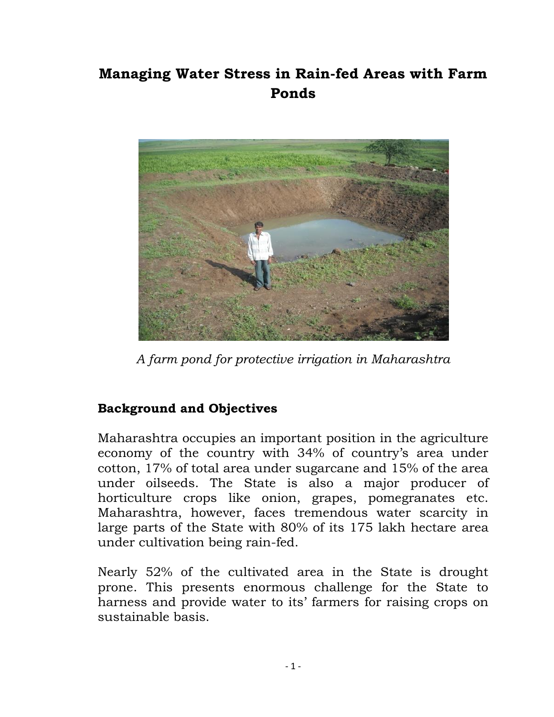## **Managing Water Stress in Rain-fed Areas with Farm Ponds**



*A farm pond for protective irrigation in Maharashtra*

## **Background and Objectives**

Maharashtra occupies an important position in the agriculture economy of the country with 34% of country"s area under cotton, 17% of total area under sugarcane and 15% of the area under oilseeds. The State is also a major producer of horticulture crops like onion, grapes, pomegranates etc. Maharashtra, however, faces tremendous water scarcity in large parts of the State with 80% of its 175 lakh hectare area under cultivation being rain-fed.

Nearly 52% of the cultivated area in the State is drought prone. This presents enormous challenge for the State to harness and provide water to its' farmers for raising crops on sustainable basis.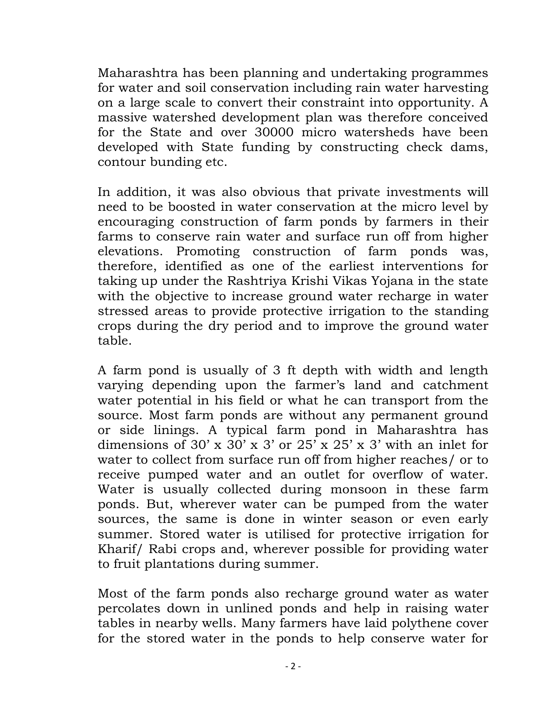Maharashtra has been planning and undertaking programmes for water and soil conservation including rain water harvesting on a large scale to convert their constraint into opportunity. A massive watershed development plan was therefore conceived for the State and over 30000 micro watersheds have been developed with State funding by constructing check dams, contour bunding etc.

In addition, it was also obvious that private investments will need to be boosted in water conservation at the micro level by encouraging construction of farm ponds by farmers in their farms to conserve rain water and surface run off from higher elevations. Promoting construction of farm ponds was, therefore, identified as one of the earliest interventions for taking up under the Rashtriya Krishi Vikas Yojana in the state with the objective to increase ground water recharge in water stressed areas to provide protective irrigation to the standing crops during the dry period and to improve the ground water table.

A farm pond is usually of 3 ft depth with width and length varying depending upon the farmer's land and catchment water potential in his field or what he can transport from the source. Most farm ponds are without any permanent ground or side linings. A typical farm pond in Maharashtra has dimensions of 30' x 30' x 3' or  $25'$  x  $25'$  x 3' with an inlet for water to collect from surface run off from higher reaches/ or to receive pumped water and an outlet for overflow of water. Water is usually collected during monsoon in these farm ponds. But, wherever water can be pumped from the water sources, the same is done in winter season or even early summer. Stored water is utilised for protective irrigation for Kharif/ Rabi crops and, wherever possible for providing water to fruit plantations during summer.

Most of the farm ponds also recharge ground water as water percolates down in unlined ponds and help in raising water tables in nearby wells. Many farmers have laid polythene cover for the stored water in the ponds to help conserve water for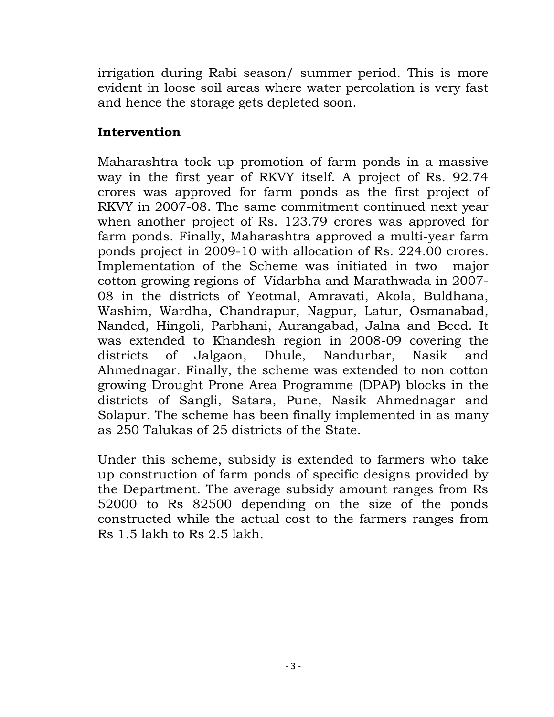irrigation during Rabi season/ summer period. This is more evident in loose soil areas where water percolation is very fast and hence the storage gets depleted soon.

## **Intervention**

Maharashtra took up promotion of farm ponds in a massive way in the first year of RKVY itself. A project of Rs. 92.74 crores was approved for farm ponds as the first project of RKVY in 2007-08. The same commitment continued next year when another project of Rs. 123.79 crores was approved for farm ponds. Finally, Maharashtra approved a multi-year farm ponds project in 2009-10 with allocation of Rs. 224.00 crores. Implementation of the Scheme was initiated in two major cotton growing regions of Vidarbha and Marathwada in 2007- 08 in the districts of Yeotmal, Amravati, Akola, Buldhana, Washim, Wardha, Chandrapur, Nagpur, Latur, Osmanabad, Nanded, Hingoli, Parbhani, Aurangabad, Jalna and Beed. It was extended to Khandesh region in 2008-09 covering the districts of Jalgaon, Dhule, Nandurbar, Nasik and Ahmednagar. Finally, the scheme was extended to non cotton growing Drought Prone Area Programme (DPAP) blocks in the districts of Sangli, Satara, Pune, Nasik Ahmednagar and Solapur. The scheme has been finally implemented in as many as 250 Talukas of 25 districts of the State.

Under this scheme, subsidy is extended to farmers who take up construction of farm ponds of specific designs provided by the Department. The average subsidy amount ranges from Rs 52000 to Rs 82500 depending on the size of the ponds constructed while the actual cost to the farmers ranges from Rs 1.5 lakh to Rs 2.5 lakh.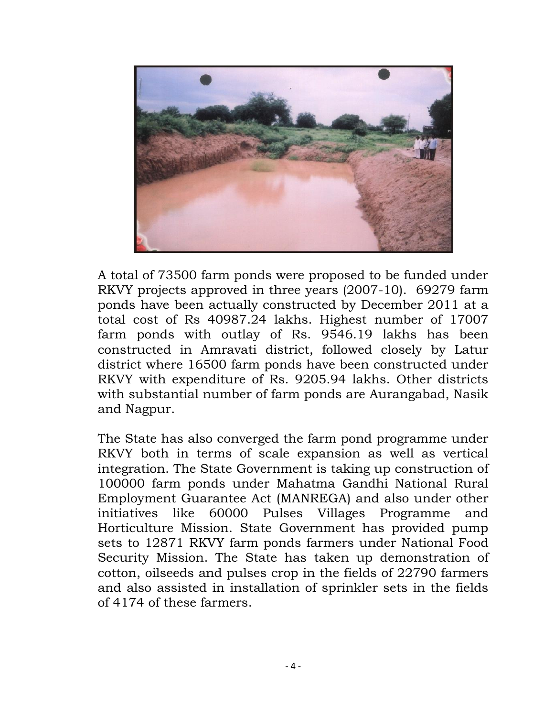

A total of 73500 farm ponds were proposed to be funded under RKVY projects approved in three years (2007-10). 69279 farm ponds have been actually constructed by December 2011 at a total cost of Rs 40987.24 lakhs. Highest number of 17007 farm ponds with outlay of Rs. 9546.19 lakhs has been constructed in Amravati district, followed closely by Latur district where 16500 farm ponds have been constructed under RKVY with expenditure of Rs. 9205.94 lakhs. Other districts with substantial number of farm ponds are Aurangabad, Nasik and Nagpur.

The State has also converged the farm pond programme under RKVY both in terms of scale expansion as well as vertical integration. The State Government is taking up construction of 100000 farm ponds under Mahatma Gandhi National Rural Employment Guarantee Act (MANREGA) and also under other initiatives like 60000 Pulses Villages Programme and Horticulture Mission. State Government has provided pump sets to 12871 RKVY farm ponds farmers under National Food Security Mission. The State has taken up demonstration of cotton, oilseeds and pulses crop in the fields of 22790 farmers and also assisted in installation of sprinkler sets in the fields of 4174 of these farmers.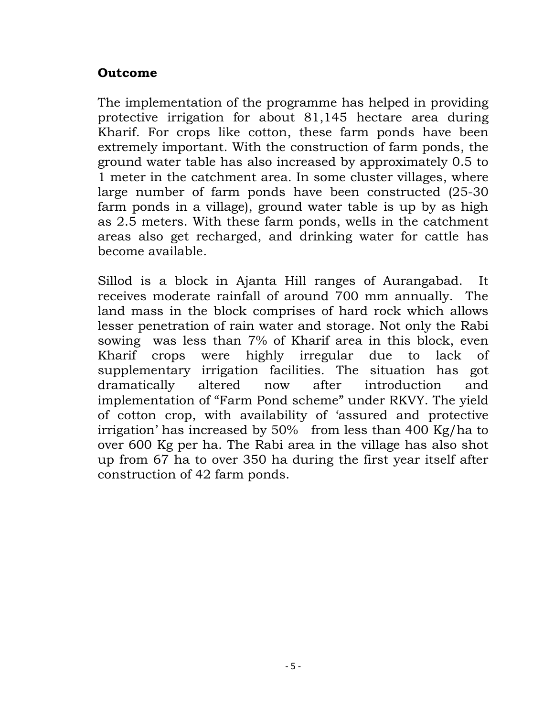## **Outcome**

The implementation of the programme has helped in providing protective irrigation for about 81,145 hectare area during Kharif. For crops like cotton, these farm ponds have been extremely important. With the construction of farm ponds, the ground water table has also increased by approximately 0.5 to 1 meter in the catchment area. In some cluster villages, where large number of farm ponds have been constructed (25-30 farm ponds in a village), ground water table is up by as high as 2.5 meters. With these farm ponds, wells in the catchment areas also get recharged, and drinking water for cattle has become available.

Sillod is a block in Ajanta Hill ranges of Aurangabad. It receives moderate rainfall of around 700 mm annually. The land mass in the block comprises of hard rock which allows lesser penetration of rain water and storage. Not only the Rabi sowing was less than 7% of Kharif area in this block, even Kharif crops were highly irregular due to lack of supplementary irrigation facilities. The situation has got dramatically altered now after introduction and implementation of "Farm Pond scheme" under RKVY. The yield of cotton crop, with availability of "assured and protective irrigation" has increased by 50% from less than 400 Kg/ha to over 600 Kg per ha. The Rabi area in the village has also shot up from 67 ha to over 350 ha during the first year itself after construction of 42 farm ponds.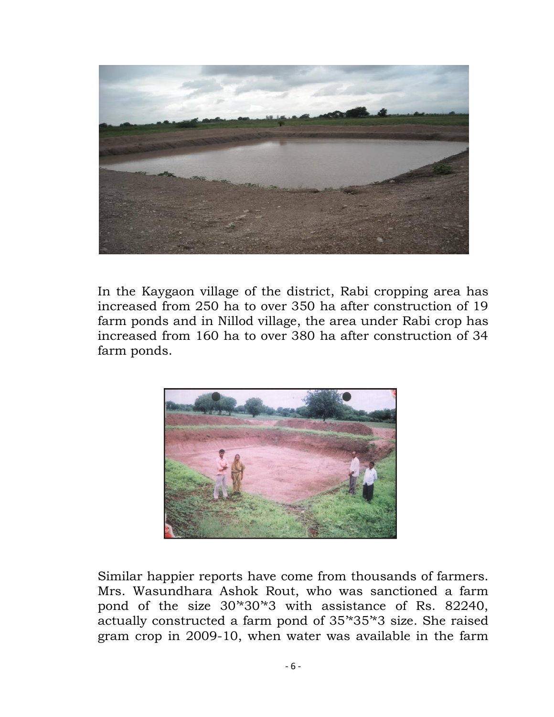

In the Kaygaon village of the district, Rabi cropping area has increased from 250 ha to over 350 ha after construction of 19 farm ponds and in Nillod village, the area under Rabi crop has increased from 160 ha to over 380 ha after construction of 34 farm ponds.



Similar happier reports have come from thousands of farmers. Mrs. Wasundhara Ashok Rout, who was sanctioned a farm pond of the size 30"\*30"\*3 with assistance of Rs. 82240, actually constructed a farm pond of 35"\*35"\*3 size. She raised gram crop in 2009-10, when water was available in the farm